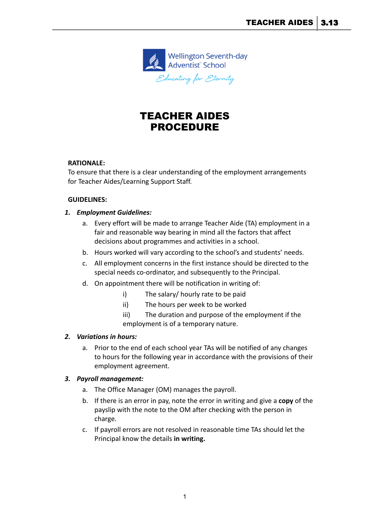

# TEACHER AIDES PROCEDURE

## **RATIONALE:**

To ensure that there is a clear understanding of the employment arrangements for Teacher Aides/Learning Support Staff.

#### **GUIDELINES:**

## *1. Employment Guidelines:*

- a. Every effort will be made to arrange Teacher Aide (TA) employment in a fair and reasonable way bearing in mind all the factors that affect decisions about programmes and activities in a school.
- b. Hours worked will vary according to the school's and students' needs.
- c. All employment concerns in the first instance should be directed to the special needs co-ordinator, and subsequently to the Principal.
- d. On appointment there will be notification in writing of:
	- i) The salary/ hourly rate to be paid
	- ii) The hours per week to be worked
	- iii) The duration and purpose of the employment if the employment is of a temporary nature.

#### *2. Variations in hours:*

a. Prior to the end of each school year TAs will be notified of any changes to hours for the following year in accordance with the provisions of their employment agreement.

#### *3. Payroll management:*

- a. The Office Manager (OM) manages the payroll.
- b. If there is an error in pay, note the error in writing and give a **copy** of the payslip with the note to the OM after checking with the person in charge.
- c. If payroll errors are not resolved in reasonable time TAs should let the Principal know the details **in writing.**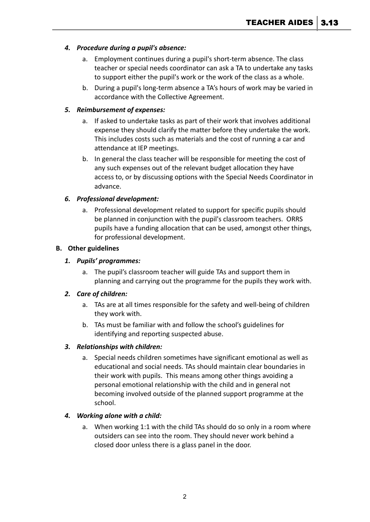## *4. Procedure during a pupil's absence:*

- a. Employment continues during a pupil's short-term absence. The class teacher or special needs coordinator can ask a TA to undertake any tasks to support either the pupil's work or the work of the class as a whole.
- b. During a pupil's long-term absence a TA's hours of work may be varied in accordance with the Collective Agreement.

#### *5. Reimbursement of expenses:*

- a. If asked to undertake tasks as part of their work that involves additional expense they should clarify the matter before they undertake the work. This includes costs such as materials and the cost of running a car and attendance at IEP meetings.
- b. In general the class teacher will be responsible for meeting the cost of any such expenses out of the relevant budget allocation they have access to, or by discussing options with the Special Needs Coordinator in advance.

## *6. Professional development:*

a. Professional development related to support for specific pupils should be planned in conjunction with the pupil's classroom teachers. ORRS pupils have a funding allocation that can be used, amongst other things, for professional development.

#### **B. Other guidelines**

## *1. Pupils' programmes:*

a. The pupil's classroom teacher will guide TAs and support them in planning and carrying out the programme for the pupils they work with.

#### *2. Care of children:*

- a. TAs are at all times responsible for the safety and well-being of children they work with.
- b. TAs must be familiar with and follow the school's guidelines for identifying and reporting suspected abuse.

## *3. Relationships with children:*

a. Special needs children sometimes have significant emotional as well as educational and social needs. TAs should maintain clear boundaries in their work with pupils. This means among other things avoiding a personal emotional relationship with the child and in general not becoming involved outside of the planned support programme at the school.

#### *4. Working alone with a child:*

a. When working 1:1 with the child TAs should do so only in a room where outsiders can see into the room. They should never work behind a closed door unless there is a glass panel in the door.